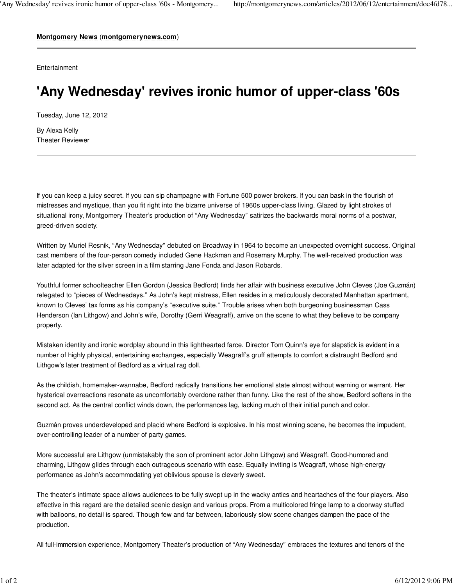**Montgomery News** (**montgomerynews.com**)

**Entertainment** 

## **'Any Wednesday' revives ironic humor of upper-class '60s**

Tuesday, June 12, 2012

By Alexa Kelly Theater Reviewer

If you can keep a juicy secret. If you can sip champagne with Fortune 500 power brokers. If you can bask in the flourish of mistresses and mystique, than you fit right into the bizarre universe of 1960s upper-class living. Glazed by light strokes of situational irony, Montgomery Theater's production of "Any Wednesday" satirizes the backwards moral norms of a postwar, greed-driven society.

Written by Muriel Resnik, "Any Wednesday" debuted on Broadway in 1964 to become an unexpected overnight success. Original cast members of the four-person comedy included Gene Hackman and Rosemary Murphy. The well-received production was later adapted for the silver screen in a film starring Jane Fonda and Jason Robards.

Youthful former schoolteacher Ellen Gordon (Jessica Bedford) finds her affair with business executive John Cleves (Joe Guzmán) relegated to "pieces of Wednesdays." As John's kept mistress, Ellen resides in a meticulously decorated Manhattan apartment, known to Cleves' tax forms as his company's "executive suite." Trouble arises when both burgeoning businessman Cass Henderson (Ian Lithgow) and John's wife, Dorothy (Gerri Weagraff), arrive on the scene to what they believe to be company property.

Mistaken identity and ironic wordplay abound in this lighthearted farce. Director Tom Quinn's eye for slapstick is evident in a number of highly physical, entertaining exchanges, especially Weagraff's gruff attempts to comfort a distraught Bedford and Lithgow's later treatment of Bedford as a virtual rag doll.

As the childish, homemaker-wannabe, Bedford radically transitions her emotional state almost without warning or warrant. Her hysterical overreactions resonate as uncomfortably overdone rather than funny. Like the rest of the show, Bedford softens in the second act. As the central conflict winds down, the performances lag, lacking much of their initial punch and color.

Guzmán proves underdeveloped and placid where Bedford is explosive. In his most winning scene, he becomes the impudent, over-controlling leader of a number of party games.

More successful are Lithgow (unmistakably the son of prominent actor John Lithgow) and Weagraff. Good-humored and charming, Lithgow glides through each outrageous scenario with ease. Equally inviting is Weagraff, whose high-energy performance as John's accommodating yet oblivious spouse is cleverly sweet.

The theater's intimate space allows audiences to be fully swept up in the wacky antics and heartaches of the four players. Also effective in this regard are the detailed scenic design and various props. From a multicolored fringe lamp to a doorway stuffed with balloons, no detail is spared. Though few and far between, laboriously slow scene changes dampen the pace of the production.

All full-immersion experience, Montgomery Theater's production of "Any Wednesday" embraces the textures and tenors of the